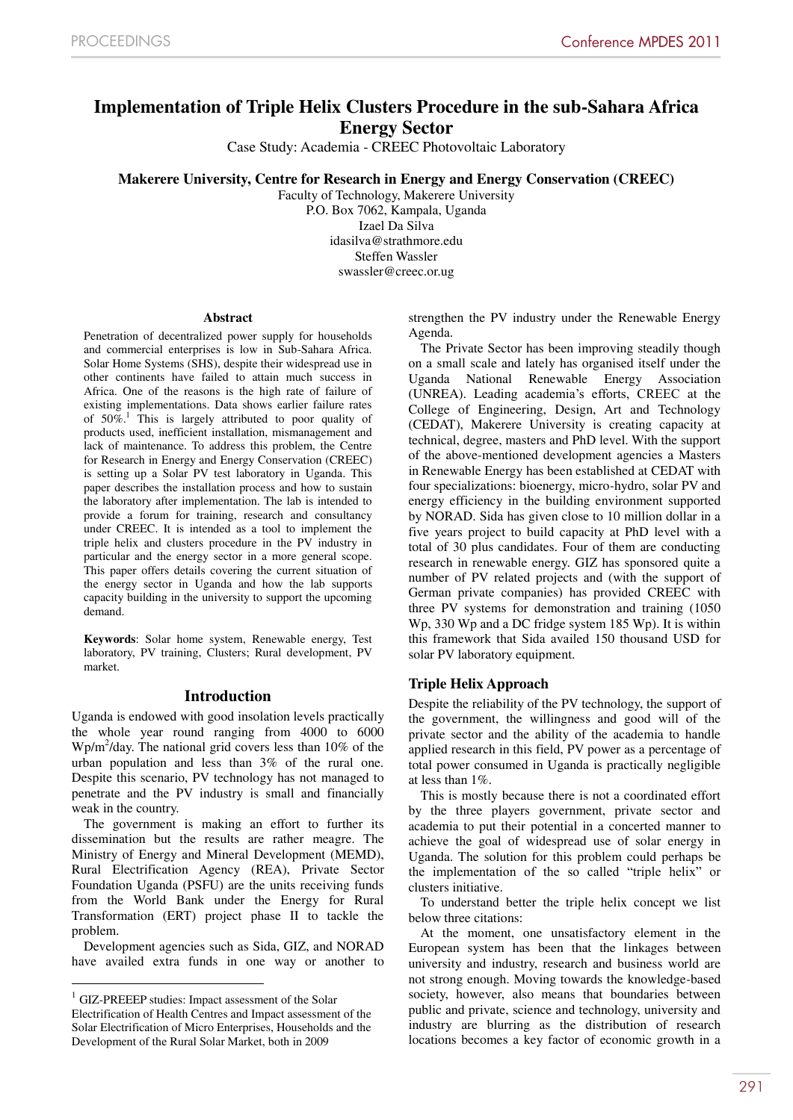# **Implementation of Triple Helix Clusters Procedure in the sub-Sahara Africa Energy Sector**

Case Study: Academia - CREEC Photovoltaic Laboratory

**Makerere University, Centre for Research in Energy and Energy Conservation (CREEC)**

Faculty of Technology, Makerere University P.O. Box 7062, Kampala, Uganda Izael Da Silva idasilva@strathmore.edu Steffen Wassler swassler@creec.or.ug

#### **Abstract**

Penetration of decentralized power supply for households and commercial enterprises is low in Sub-Sahara Africa. Solar Home Systems (SHS), despite their widespread use in other continents have failed to attain much success in Africa. One of the reasons is the high rate of failure of existing implementations. Data shows earlier failure rates of  $50\%$ <sup>1</sup>. This is largely attributed to poor quality of products used, inefficient installation, mismanagement and lack of maintenance. To address this problem, the Centre for Research in Energy and Energy Conservation (CREEC) is setting up a Solar PV test laboratory in Uganda. This paper describes the installation process and how to sustain the laboratory after implementation. The lab is intended to provide a forum for training, research and consultancy under CREEC. It is intended as a tool to implement the triple helix and clusters procedure in the PV industry in particular and the energy sector in a more general scope. This paper offers details covering the current situation of the energy sector in Uganda and how the lab supports capacity building in the university to support the upcoming demand.

**Keywords**: Solar home system, Renewable energy, Test laboratory, PV training, Clusters; Rural development, PV market.

# **Introduction**

Uganda is endowed with good insolation levels practically the whole year round ranging from 4000 to 6000 Wp/m2 /day. The national grid covers less than 10% of the urban population and less than 3% of the rural one. Despite this scenario, PV technology has not managed to penetrate and the PV industry is small and financially weak in the country.

The government is making an effort to further its dissemination but the results are rather meagre. The Ministry of Energy and Mineral Development (MEMD), Rural Electrification Agency (REA), Private Sector Foundation Uganda (PSFU) are the units receiving funds from the World Bank under the Energy for Rural Transformation (ERT) project phase II to tackle the problem.

Development agencies such as Sida, GIZ, and NORAD have availed extra funds in one way or another to strengthen the PV industry under the Renewable Energy Agenda.

The Private Sector has been improving steadily though on a small scale and lately has organised itself under the Uganda National Renewable Energy Association (UNREA). Leading academia's efforts, CREEC at the College of Engineering, Design, Art and Technology (CEDAT), Makerere University is creating capacity at technical, degree, masters and PhD level. With the support of the above-mentioned development agencies a Masters in Renewable Energy has been established at CEDAT with four specializations: bioenergy, micro-hydro, solar PV and energy efficiency in the building environment supported by NORAD. Sida has given close to 10 million dollar in a five years project to build capacity at PhD level with a total of 30 plus candidates. Four of them are conducting research in renewable energy. GIZ has sponsored quite a number of PV related projects and (with the support of German private companies) has provided CREEC with three PV systems for demonstration and training (1050 Wp, 330 Wp and a DC fridge system 185 Wp). It is within this framework that Sida availed 150 thousand USD for solar PV laboratory equipment.

# **Triple Helix Approach**

Despite the reliability of the PV technology, the support of the government, the willingness and good will of the private sector and the ability of the academia to handle applied research in this field, PV power as a percentage of total power consumed in Uganda is practically negligible at less than 1%.

This is mostly because there is not a coordinated effort by the three players government, private sector and academia to put their potential in a concerted manner to achieve the goal of widespread use of solar energy in Uganda. The solution for this problem could perhaps be the implementation of the so called "triple helix" or clusters initiative.

To understand better the triple helix concept we list below three citations:

At the moment, one unsatisfactory element in the European system has been that the linkages between university and industry, research and business world are not strong enough. Moving towards the knowledge-based society, however, also means that boundaries between public and private, science and technology, university and industry are blurring as the distribution of research locations becomes a key factor of economic growth in a

<sup>&</sup>lt;sup>1</sup> GIZ-PREEEP studies: Impact assessment of the Solar Electrification of Health Centres and Impact assessment of the Solar Electrification of Micro Enterprises, Households and the Development of the Rural Solar Market, both in 2009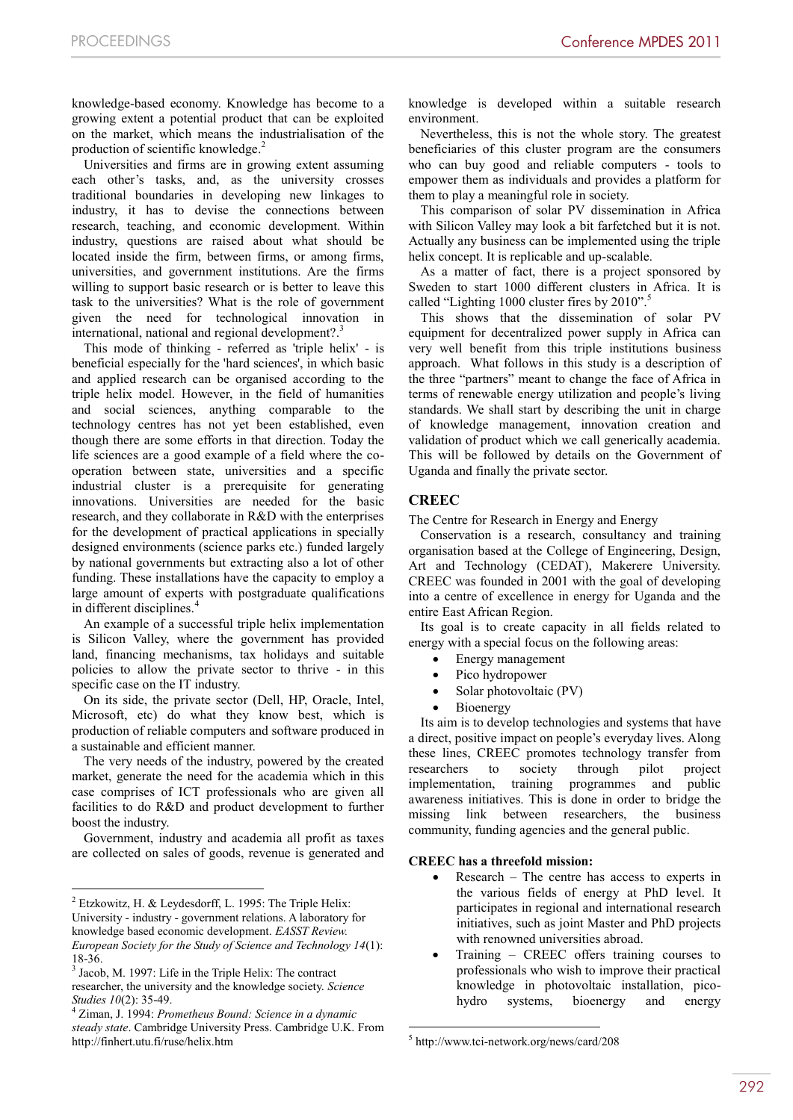knowledge-based economy. Knowledge has become to a growing extent a potential product that can be exploited on the market, which means the industrialisation of the production of scientific knowledge.<sup>2</sup>

Universities and firms are in growing extent assuming each other's tasks, and, as the university crosses traditional boundaries in developing new linkages to industry, it has to devise the connections between research, teaching, and economic development. Within industry, questions are raised about what should be located inside the firm, between firms, or among firms, universities, and government institutions. Are the firms willing to support basic research or is better to leave this task to the universities? What is the role of government given the need for technological innovation in international, national and regional development?.<sup>3</sup>

This mode of thinking - referred as 'triple helix' - is beneficial especially for the 'hard sciences', in which basic and applied research can be organised according to the triple helix model. However, in the field of humanities and social sciences, anything comparable to the technology centres has not yet been established, even though there are some efforts in that direction. Today the life sciences are a good example of a field where the cooperation between state, universities and a specific industrial cluster is a prerequisite for generating innovations. Universities are needed for the basic research, and they collaborate in R&D with the enterprises for the development of practical applications in specially designed environments (science parks etc.) funded largely by national governments but extracting also a lot of other funding. These installations have the capacity to employ a large amount of experts with postgraduate qualifications in different disciplines.<sup>4</sup>

An example of a successful triple helix implementation is Silicon Valley, where the government has provided land, financing mechanisms, tax holidays and suitable policies to allow the private sector to thrive - in this specific case on the IT industry.

On its side, the private sector (Dell, HP, Oracle, Intel, Microsoft, etc) do what they know best, which is production of reliable computers and software produced in a sustainable and efficient manner.

The very needs of the industry, powered by the created market, generate the need for the academia which in this case comprises of ICT professionals who are given all facilities to do R&D and product development to further boost the industry.

Government, industry and academia all profit as taxes are collected on sales of goods, revenue is generated and

 $\overline{a}$ 

knowledge is developed within a suitable research environment.

Nevertheless, this is not the whole story. The greatest beneficiaries of this cluster program are the consumers who can buy good and reliable computers - tools to empower them as individuals and provides a platform for them to play a meaningful role in society.

This comparison of solar PV dissemination in Africa with Silicon Valley may look a bit farfetched but it is not. Actually any business can be implemented using the triple helix concept. It is replicable and up-scalable.

As a matter of fact, there is a project sponsored by Sweden to start 1000 different clusters in Africa. It is called "Lighting 1000 cluster fires by 2010".<sup>5</sup>

This shows that the dissemination of solar PV equipment for decentralized power supply in Africa can very well benefit from this triple institutions business approach. What follows in this study is a description of the three "partners" meant to change the face of Africa in terms of renewable energy utilization and people's living standards. We shall start by describing the unit in charge of knowledge management, innovation creation and validation of product which we call generically academia. This will be followed by details on the Government of Uganda and finally the private sector.

# **CREEC**

The Centre for Research in Energy and Energy

Conservation is a research, consultancy and training organisation based at the College of Engineering, Design, Art and Technology (CEDAT), Makerere University. CREEC was founded in 2001 with the goal of developing into a centre of excellence in energy for Uganda and the entire East African Region.

Its goal is to create capacity in all fields related to energy with a special focus on the following areas:

- Energy management
- Pico hydropower
- Solar photovoltaic (PV)
- Bioenergy

Its aim is to develop technologies and systems that have a direct, positive impact on people's everyday lives. Along these lines, CREEC promotes technology transfer from researchers to society through pilot project implementation, training programmes and public awareness initiatives. This is done in order to bridge the missing link between researchers, the business community, funding agencies and the general public.

# **CREEC has a threefold mission:**

- Research The centre has access to experts in the various fields of energy at PhD level. It participates in regional and international research initiatives, such as joint Master and PhD projects with renowned universities abroad.
- Training CREEC offers training courses to professionals who wish to improve their practical knowledge in photovoltaic installation, picohydro systems, bioenergy and energy

-

 $2$  Etzkowitz, H. & Leydesdorff, L. 1995: The Triple Helix: University - industry - government relations. A laboratory for knowledge based economic development. *EASST Review. European Society for the Study of Science and Technology 14*(1): 18-36. <sup>3</sup> Jacob, M. 1997: Life in the Triple Helix: The contract

researcher, the university and the knowledge society. *Science Studies 10*(2): 35-49. <sup>4</sup> Ziman, J. 1994: *Prometheus Bound: Science in a dynamic* 

*steady state*. Cambridge University Press. Cambridge U.K. From http://finhert.utu.fi/ruse/helix.htm

<sup>5</sup> http://www.tci-network.org/news/card/208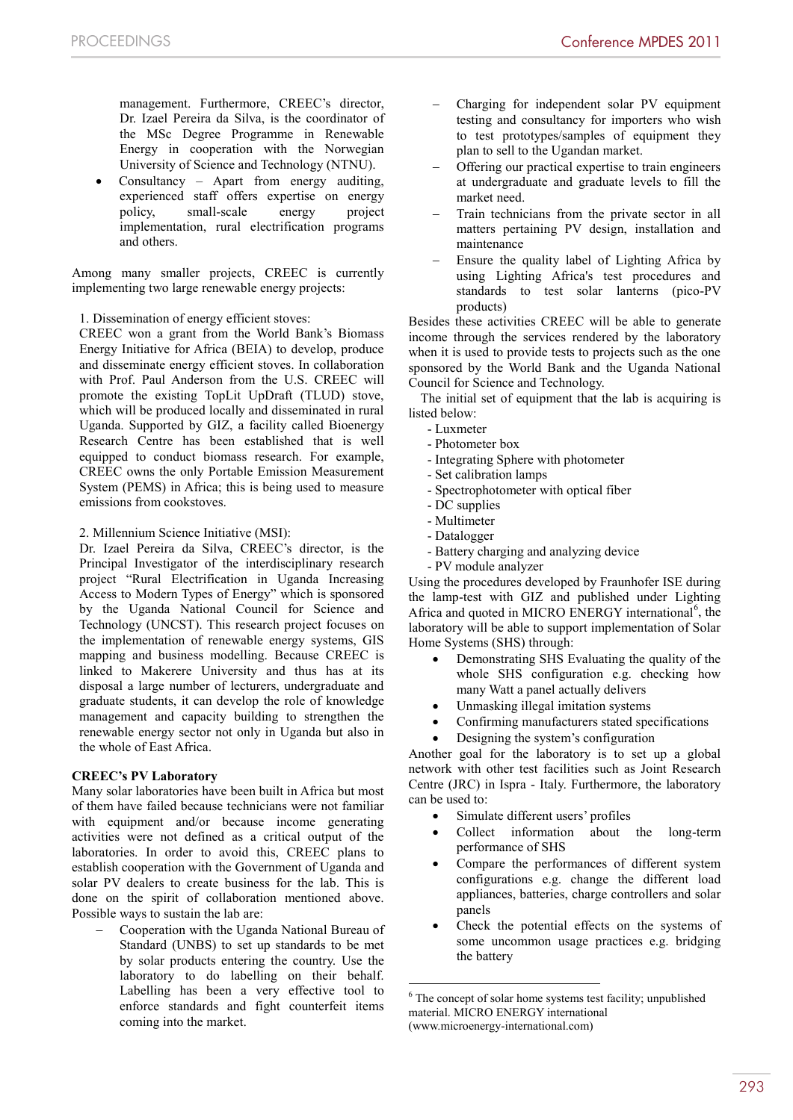management. Furthermore, CREEC's director, Dr. Izael Pereira da Silva, is the coordinator of the MSc Degree Programme in Renewable Energy in cooperation with the Norwegian University of Science and Technology (NTNU).

 Consultancy – Apart from energy auditing, experienced staff offers expertise on energy policy, small-scale energy project implementation, rural electrification programs and others.

Among many smaller projects, CREEC is currently implementing two large renewable energy projects:

1. Dissemination of energy efficient stoves:

CREEC won a grant from the World Bank's Biomass Energy Initiative for Africa (BEIA) to develop, produce and disseminate energy efficient stoves. In collaboration with Prof. Paul Anderson from the U.S. CREEC will promote the existing TopLit UpDraft (TLUD) stove, which will be produced locally and disseminated in rural Uganda. Supported by GIZ, a facility called Bioenergy Research Centre has been established that is well equipped to conduct biomass research. For example, CREEC owns the only Portable Emission Measurement System (PEMS) in Africa; this is being used to measure emissions from cookstoves.

2. Millennium Science Initiative (MSI):

Dr. Izael Pereira da Silva, CREEC's director, is the Principal Investigator of the interdisciplinary research project "Rural Electrification in Uganda Increasing Access to Modern Types of Energy" which is sponsored by the Uganda National Council for Science and Technology (UNCST). This research project focuses on the implementation of renewable energy systems, GIS mapping and business modelling. Because CREEC is linked to Makerere University and thus has at its disposal a large number of lecturers, undergraduate and graduate students, it can develop the role of knowledge management and capacity building to strengthen the renewable energy sector not only in Uganda but also in the whole of East Africa.

# **CREEC's PV Laboratory**

Many solar laboratories have been built in Africa but most of them have failed because technicians were not familiar with equipment and/or because income generating activities were not defined as a critical output of the laboratories. In order to avoid this, CREEC plans to establish cooperation with the Government of Uganda and solar PV dealers to create business for the lab. This is done on the spirit of collaboration mentioned above. Possible ways to sustain the lab are:

 Cooperation with the Uganda National Bureau of Standard (UNBS) to set up standards to be met by solar products entering the country. Use the laboratory to do labelling on their behalf. Labelling has been a very effective tool to enforce standards and fight counterfeit items coming into the market.

- Charging for independent solar PV equipment testing and consultancy for importers who wish to test prototypes/samples of equipment they plan to sell to the Ugandan market.
- Offering our practical expertise to train engineers at undergraduate and graduate levels to fill the market need.
- Train technicians from the private sector in all matters pertaining PV design, installation and maintenance
- Ensure the quality label of Lighting Africa by using Lighting Africa's test procedures and standards to test solar lanterns (pico-PV products)

Besides these activities CREEC will be able to generate income through the services rendered by the laboratory when it is used to provide tests to projects such as the one sponsored by the World Bank and the Uganda National Council for Science and Technology.

The initial set of equipment that the lab is acquiring is listed below:

- Luxmeter
- Photometer box
- Integrating Sphere with photometer
- Set calibration lamps
- Spectrophotometer with optical fiber
- DC supplies
- Multimeter
- Datalogger
- Battery charging and analyzing device
- PV module analyzer

Using the procedures developed by Fraunhofer ISE during the lamp-test with GIZ and published under Lighting Africa and quoted in MICRO ENERGY international<sup>6</sup>, the laboratory will be able to support implementation of Solar Home Systems (SHS) through:

- Demonstrating SHS Evaluating the quality of the whole SHS configuration e.g. checking how many Watt a panel actually delivers
- Unmasking illegal imitation systems
- Confirming manufacturers stated specifications
- Designing the system's configuration

Another goal for the laboratory is to set up a global network with other test facilities such as Joint Research Centre (JRC) in Ispra - Italy. Furthermore, the laboratory can be used to:

- Simulate different users' profiles
- Collect information about the long-term performance of SHS
- Compare the performances of different system configurations e.g. change the different load appliances, batteries, charge controllers and solar panels
- Check the potential effects on the systems of some uncommon usage practices e.g. bridging the battery

<sup>-</sup> $6$  The concept of solar home systems test facility; unpublished material. MICRO ENERGY international (www.microenergy-international.com)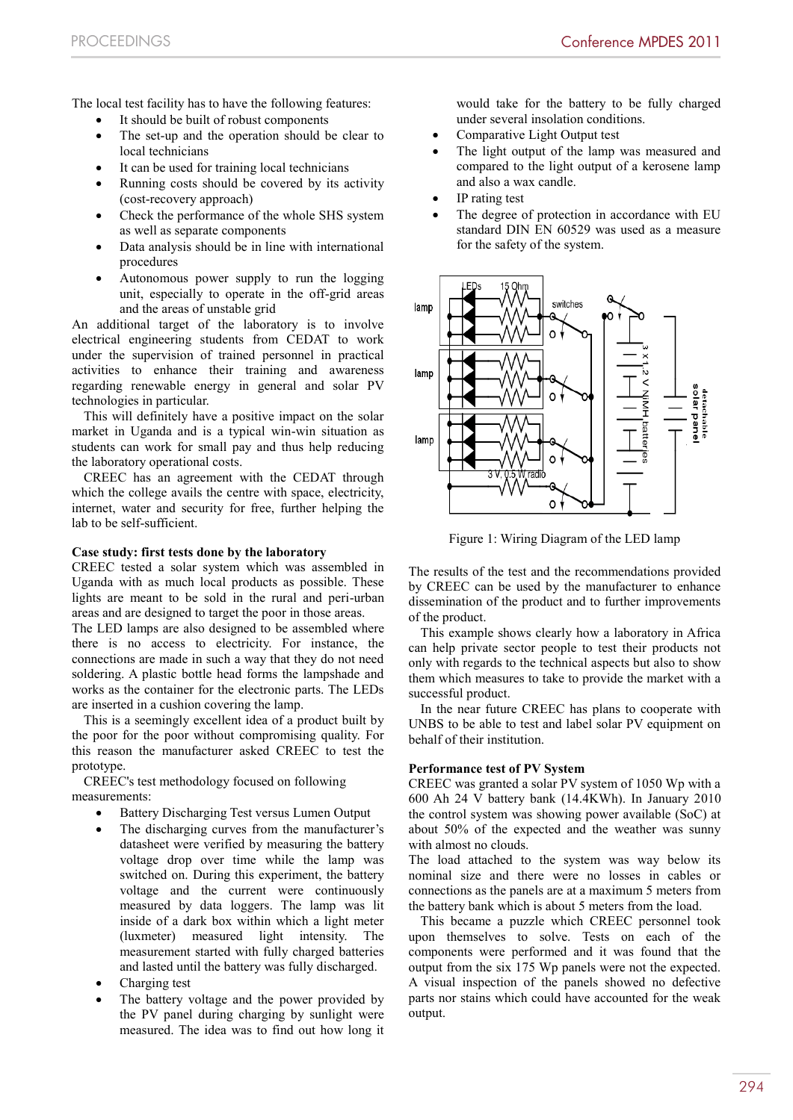The local test facility has to have the following features:

- It should be built of robust components
- The set-up and the operation should be clear to local technicians
- It can be used for training local technicians
- Running costs should be covered by its activity (cost-recovery approach)
- Check the performance of the whole SHS system as well as separate components
- Data analysis should be in line with international procedures
- Autonomous power supply to run the logging unit, especially to operate in the off-grid areas and the areas of unstable grid

An additional target of the laboratory is to involve electrical engineering students from CEDAT to work under the supervision of trained personnel in practical activities to enhance their training and awareness regarding renewable energy in general and solar PV technologies in particular.

This will definitely have a positive impact on the solar market in Uganda and is a typical win-win situation as students can work for small pay and thus help reducing the laboratory operational costs.

CREEC has an agreement with the CEDAT through which the college avails the centre with space, electricity, internet, water and security for free, further helping the lab to be self-sufficient.

#### **Case study: first tests done by the laboratory**

CREEC tested a solar system which was assembled in Uganda with as much local products as possible. These lights are meant to be sold in the rural and peri-urban areas and are designed to target the poor in those areas.

The LED lamps are also designed to be assembled where there is no access to electricity. For instance, the connections are made in such a way that they do not need soldering. A plastic bottle head forms the lampshade and works as the container for the electronic parts. The LEDs are inserted in a cushion covering the lamp.

This is a seemingly excellent idea of a product built by the poor for the poor without compromising quality. For this reason the manufacturer asked CREEC to test the prototype.

CREEC's test methodology focused on following measurements:

- Battery Discharging Test versus Lumen Output
- The discharging curves from the manufacturer's datasheet were verified by measuring the battery voltage drop over time while the lamp was switched on. During this experiment, the battery voltage and the current were continuously measured by data loggers. The lamp was lit inside of a dark box within which a light meter (luxmeter) measured light intensity. The measurement started with fully charged batteries and lasted until the battery was fully discharged.
- Charging test
- The battery voltage and the power provided by the PV panel during charging by sunlight were measured. The idea was to find out how long it

would take for the battery to be fully charged under several insolation conditions.

- Comparative Light Output test
- The light output of the lamp was measured and compared to the light output of a kerosene lamp and also a wax candle.
- IP rating test
- The degree of protection in accordance with EU standard DIN EN 60529 was used as a measure for the safety of the system.



Figure 1: Wiring Diagram of the LED lamp

The results of the test and the recommendations provided by CREEC can be used by the manufacturer to enhance dissemination of the product and to further improvements of the product.

This example shows clearly how a laboratory in Africa can help private sector people to test their products not only with regards to the technical aspects but also to show them which measures to take to provide the market with a successful product.

In the near future CREEC has plans to cooperate with UNBS to be able to test and label solar PV equipment on behalf of their institution.

# **Performance test of PV System**

CREEC was granted a solar PV system of 1050 Wp with a 600 Ah 24 V battery bank (14.4KWh). In January 2010 the control system was showing power available (SoC) at about 50% of the expected and the weather was sunny with almost no clouds.

The load attached to the system was way below its nominal size and there were no losses in cables or connections as the panels are at a maximum 5 meters from the battery bank which is about 5 meters from the load.

This became a puzzle which CREEC personnel took upon themselves to solve. Tests on each of the components were performed and it was found that the output from the six 175 Wp panels were not the expected. A visual inspection of the panels showed no defective parts nor stains which could have accounted for the weak output.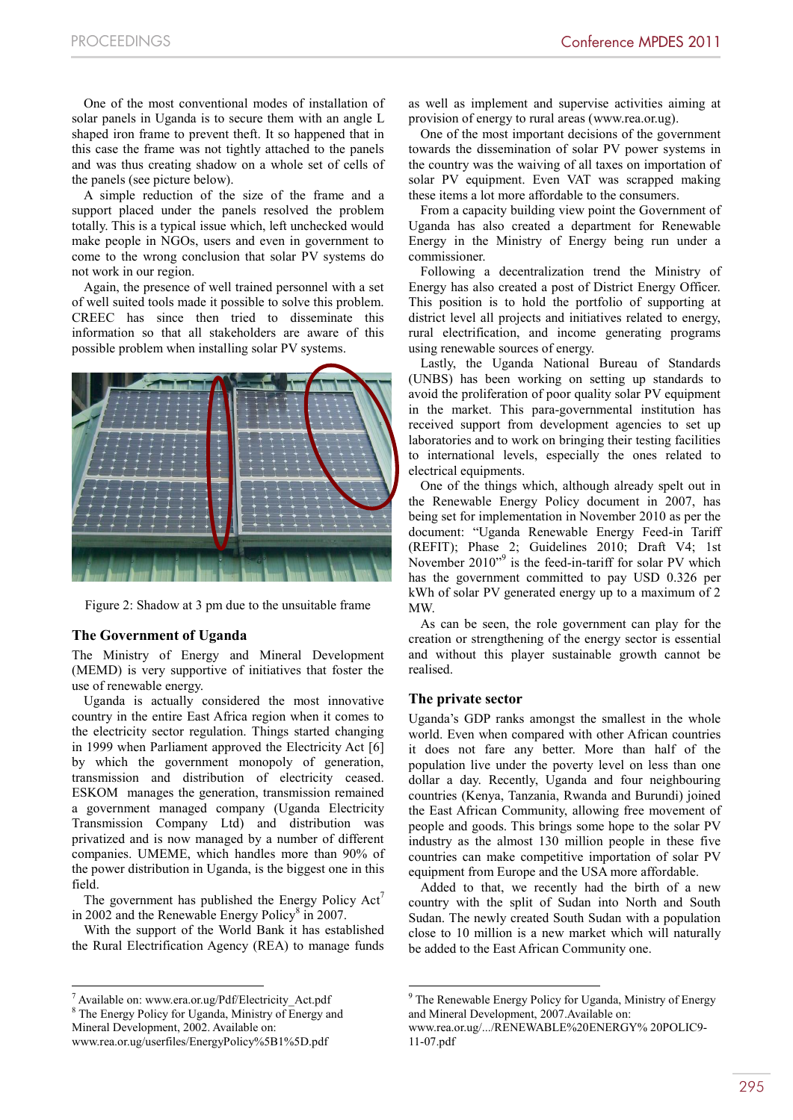One of the most conventional modes of installation of solar panels in Uganda is to secure them with an angle L shaped iron frame to prevent theft. It so happened that in this case the frame was not tightly attached to the panels and was thus creating shadow on a whole set of cells of the panels (see picture below).

A simple reduction of the size of the frame and a support placed under the panels resolved the problem totally. This is a typical issue which, left unchecked would make people in NGOs, users and even in government to come to the wrong conclusion that solar PV systems do not work in our region.

Again, the presence of well trained personnel with a set of well suited tools made it possible to solve this problem. CREEC has since then tried to disseminate this information so that all stakeholders are aware of this possible problem when installing solar PV systems.



Figure 2: Shadow at 3 pm due to the unsuitable frame

# **The Government of Uganda**

The Ministry of Energy and Mineral Development (MEMD) is very supportive of initiatives that foster the use of renewable energy.

Uganda is actually considered the most innovative country in the entire East Africa region when it comes to the electricity sector regulation. Things started changing in 1999 when Parliament approved the Electricity Act [6] by which the government monopoly of generation, transmission and distribution of electricity ceased. ESKOM manages the generation, transmission remained a government managed company (Uganda Electricity Transmission Company Ltd) and distribution was privatized and is now managed by a number of different companies. UMEME, which handles more than 90% of the power distribution in Uganda, is the biggest one in this field.

The government has published the Energy Policy  $Act'$ in 2002 and the Renewable Energy Policy<sup>8</sup> in 2007.

With the support of the World Bank it has established the Rural Electrification Agency (REA) to manage funds

 $^7$  Available on: www.era.or.ug/Pdf/Electricity\_Act.pdf  $^8$  The Energy Policy for Uganda, Ministry of Energy and

 $\overline{a}$ 

as well as implement and supervise activities aiming at provision of energy to rural areas (www.rea.or.ug).

One of the most important decisions of the government towards the dissemination of solar PV power systems in the country was the waiving of all taxes on importation of solar PV equipment. Even VAT was scrapped making these items a lot more affordable to the consumers.

From a capacity building view point the Government of Uganda has also created a department for Renewable Energy in the Ministry of Energy being run under a commissioner.

Following a decentralization trend the Ministry of Energy has also created a post of District Energy Officer. This position is to hold the portfolio of supporting at district level all projects and initiatives related to energy, rural electrification, and income generating programs using renewable sources of energy.

Lastly, the Uganda National Bureau of Standards (UNBS) has been working on setting up standards to avoid the proliferation of poor quality solar PV equipment in the market. This para-governmental institution has received support from development agencies to set up laboratories and to work on bringing their testing facilities to international levels, especially the ones related to electrical equipments.

One of the things which, although already spelt out in the Renewable Energy Policy document in 2007, has being set for implementation in November 2010 as per the document: "Uganda Renewable Energy Feed-in Tariff (REFIT); Phase 2; Guidelines 2010; Draft V4; 1st November  $2010^{9}$  is the feed-in-tariff for solar PV which has the government committed to pay USD 0.326 per kWh of solar PV generated energy up to a maximum of 2 MW.

As can be seen, the role government can play for the creation or strengthening of the energy sector is essential and without this player sustainable growth cannot be realised.

#### **The private sector**

<u>.</u>

Uganda's GDP ranks amongst the smallest in the whole world. Even when compared with other African countries it does not fare any better. More than half of the population live under the poverty level on less than one dollar a day. Recently, Uganda and four neighbouring countries (Kenya, Tanzania, Rwanda and Burundi) joined the East African Community, allowing free movement of people and goods. This brings some hope to the solar PV industry as the almost 130 million people in these five countries can make competitive importation of solar PV equipment from Europe and the USA more affordable.

Added to that, we recently had the birth of a new country with the split of Sudan into North and South Sudan. The newly created South Sudan with a population close to 10 million is a new market which will naturally be added to the East African Community one.

Mineral Development, 2002. Available on:

www.rea.or.ug/userfiles/EnergyPolicy%5B1%5D.pdf

<sup>9</sup> The Renewable Energy Policy for Uganda, Ministry of Energy and Mineral Development, 2007.Available on:

www.rea.or.ug/.../RENEWABLE%20ENERGY% 20POLIC9- 11-07.pdf